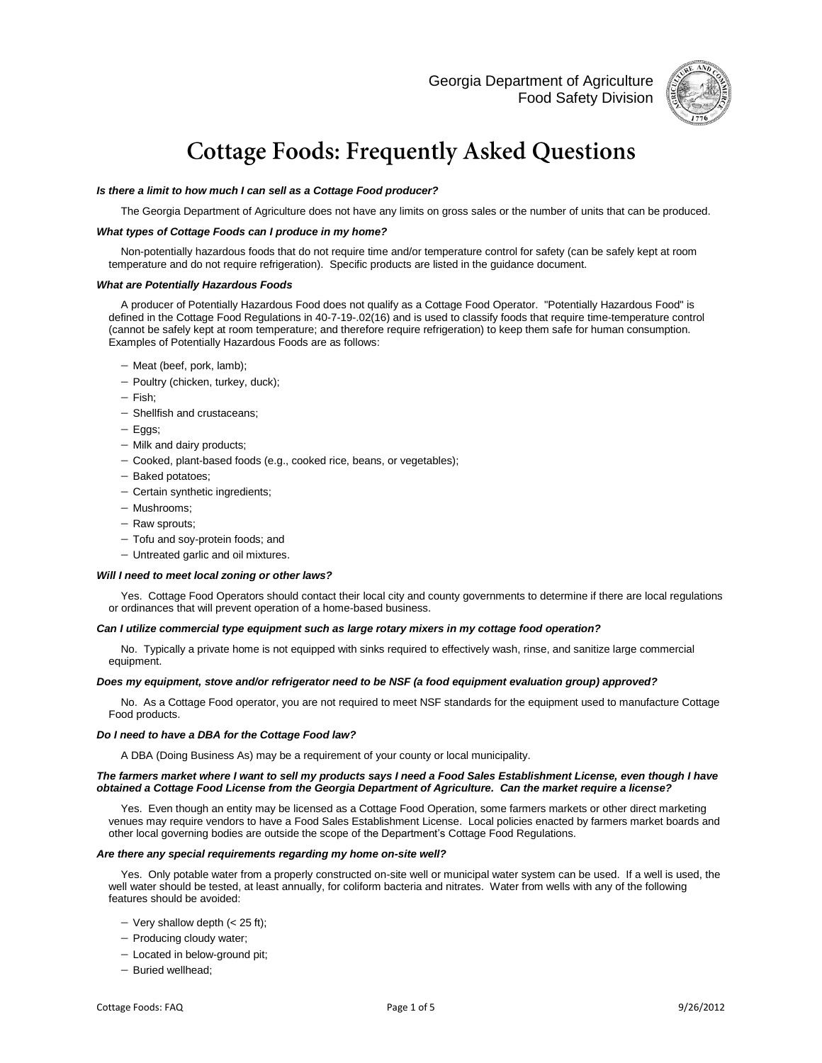Georgia Department of Agriculture Food Safety Division



# **Cottage Foods: Frequently Asked Questions**

# *Is there a limit to how much I can sell as a Cottage Food producer?*

The Georgia Department of Agriculture does not have any limits on gross sales or the number of units that can be produced.

# *What types of Cottage Foods can I produce in my home?*

Non-potentially hazardous foods that do not require time and/or temperature control for safety (can be safely kept at room temperature and do not require refrigeration). Specific products are listed in the guidance document.

#### *What are Potentially Hazardous Foods*

A producer of Potentially Hazardous Food does not qualify as a Cottage Food Operator. "Potentially Hazardous Food" is defined in the Cottage Food Regulations in 40-7-19-.02(16) and is used to classify foods that require time-temperature control (cannot be safely kept at room temperature; and therefore require refrigeration) to keep them safe for human consumption. Examples of Potentially Hazardous Foods are as follows:

- Meat (beef, pork, lamb);
- Poultry (chicken, turkey, duck);
- $-$  Fish:
- Shellfish and crustaceans;
- Eggs;
- Milk and dairy products;
- Cooked, plant-based foods (e.g., cooked rice, beans, or vegetables);
- $-$  Baked potatoes;
- Certain synthetic ingredients;
- Mushrooms:
- Raw sprouts;
- Tofu and soy-protein foods; and
- Untreated garlic and oil mixtures.

#### *Will I need to meet local zoning or other laws?*

Yes. Cottage Food Operators should contact their local city and county governments to determine if there are local regulations or ordinances that will prevent operation of a home-based business.

#### *Can I utilize commercial type equipment such as large rotary mixers in my cottage food operation?*

No. Typically a private home is not equipped with sinks required to effectively wash, rinse, and sanitize large commercial equipment.

#### *Does my equipment, stove and/or refrigerator need to be NSF (a food equipment evaluation group) approved?*

No. As a Cottage Food operator, you are not required to meet NSF standards for the equipment used to manufacture Cottage Food products.

#### *Do I need to have a DBA for the Cottage Food law?*

A DBA (Doing Business As) may be a requirement of your county or local municipality.

#### *The farmers market where I want to sell my products says I need a Food Sales Establishment License, even though I have obtained a Cottage Food License from the Georgia Department of Agriculture. Can the market require a license?*

Yes. Even though an entity may be licensed as a Cottage Food Operation, some farmers markets or other direct marketing venues may require vendors to have a Food Sales Establishment License. Local policies enacted by farmers market boards and other local governing bodies are outside the scope of the Department's Cottage Food Regulations.

# *Are there any special requirements regarding my home on-site well?*

Yes. Only potable water from a properly constructed on-site well or municipal water system can be used. If a well is used, the well water should be tested, at least annually, for coliform bacteria and nitrates. Water from wells with any of the following features should be avoided:

- $-$  Very shallow depth (< 25 ft);
- Producing cloudy water;
- Located in below-ground pit;
- $-$  Buried wellhead;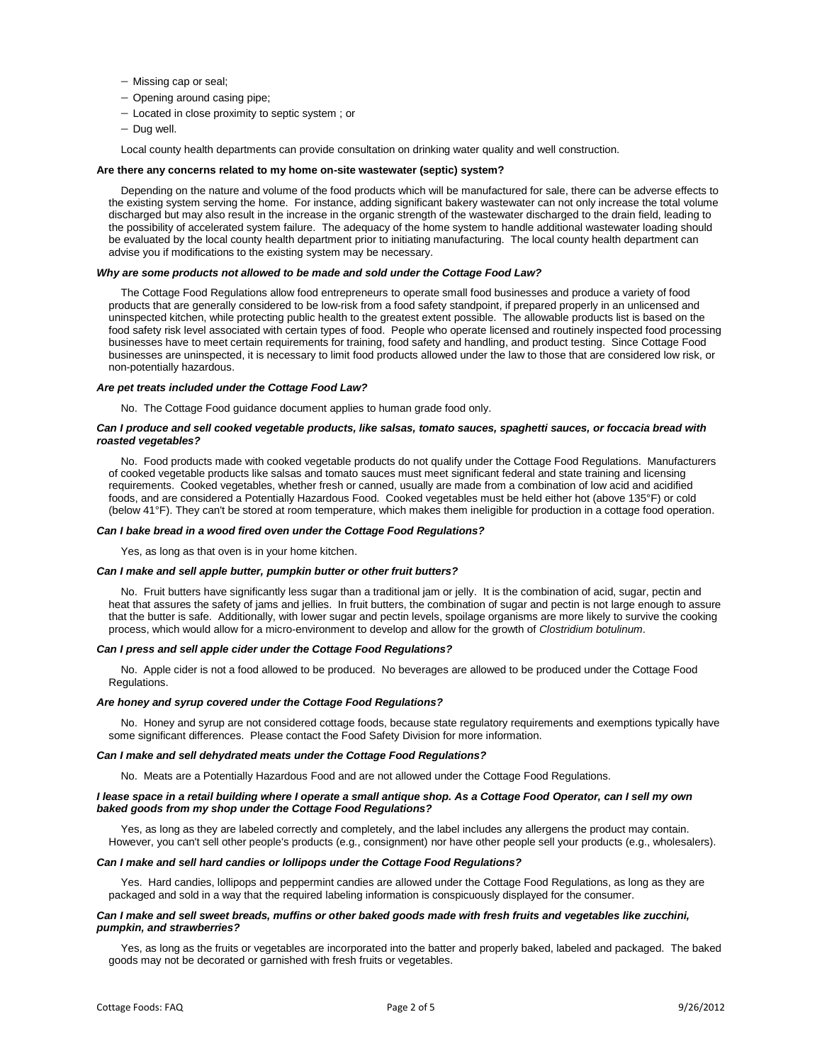- Missing cap or seal;
- Opening around casing pipe;
- $-$  Located in close proximity to septic system ; or
- $-$  Dug well.

Local county health departments can provide consultation on drinking water quality and well construction.

# **Are there any concerns related to my home on-site wastewater (septic) system?**

Depending on the nature and volume of the food products which will be manufactured for sale, there can be adverse effects to the existing system serving the home. For instance, adding significant bakery wastewater can not only increase the total volume discharged but may also result in the increase in the organic strength of the wastewater discharged to the drain field, leading to the possibility of accelerated system failure. The adequacy of the home system to handle additional wastewater loading should be evaluated by the local county health department prior to initiating manufacturing. The local county health department can advise you if modifications to the existing system may be necessary.

# *Why are some products not allowed to be made and sold under the Cottage Food Law?*

The Cottage Food Regulations allow food entrepreneurs to operate small food businesses and produce a variety of food products that are generally considered to be low-risk from a food safety standpoint, if prepared properly in an unlicensed and uninspected kitchen, while protecting public health to the greatest extent possible. The allowable products list is based on the food safety risk level associated with certain types of food. People who operate licensed and routinely inspected food processing businesses have to meet certain requirements for training, food safety and handling, and product testing. Since Cottage Food businesses are uninspected, it is necessary to limit food products allowed under the law to those that are considered low risk, or non-potentially hazardous.

#### *Are pet treats included under the Cottage Food Law?*

No. The Cottage Food guidance document applies to human grade food only.

# *Can I produce and sell cooked vegetable products, like salsas, tomato sauces, spaghetti sauces, or foccacia bread with roasted vegetables?*

No. Food products made with cooked vegetable products do not qualify under the Cottage Food Regulations. Manufacturers of cooked vegetable products like salsas and tomato sauces must meet significant federal and state training and licensing requirements. Cooked vegetables, whether fresh or canned, usually are made from a combination of low acid and acidified foods, and are considered a Potentially Hazardous Food. Cooked vegetables must be held either hot (above 135°F) or cold (below 41°F). They can't be stored at room temperature, which makes them ineligible for production in a cottage food operation.

# *Can I bake bread in a wood fired oven under the Cottage Food Regulations?*

Yes, as long as that oven is in your home kitchen.

#### *Can I make and sell apple butter, pumpkin butter or other fruit butters?*

No. Fruit butters have significantly less sugar than a traditional jam or jelly. It is the combination of acid, sugar, pectin and heat that assures the safety of jams and jellies. In fruit butters, the combination of sugar and pectin is not large enough to assure that the butter is safe. Additionally, with lower sugar and pectin levels, spoilage organisms are more likely to survive the cooking process, which would allow for a micro-environment to develop and allow for the growth of *Clostridium botulinum*.

#### *Can I press and sell apple cider under the Cottage Food Regulations?*

No. Apple cider is not a food allowed to be produced. No beverages are allowed to be produced under the Cottage Food Regulations.

#### *Are honey and syrup covered under the Cottage Food Regulations?*

No. Honey and syrup are not considered cottage foods, because state regulatory requirements and exemptions typically have some significant differences. Please contact the Food Safety Division for more information.

#### *Can I make and sell dehydrated meats under the Cottage Food Regulations?*

No. Meats are a Potentially Hazardous Food and are not allowed under the Cottage Food Regulations.

#### *I lease space in a retail building where I operate a small antique shop. As a Cottage Food Operator, can I sell my own baked goods from my shop under the Cottage Food Regulations?*

Yes, as long as they are labeled correctly and completely, and the label includes any allergens the product may contain. However, you can't sell other people's products (e.g., consignment) nor have other people sell your products (e.g., wholesalers).

# *Can I make and sell hard candies or lollipops under the Cottage Food Regulations?*

Yes. Hard candies, lollipops and peppermint candies are allowed under the Cottage Food Regulations, as long as they are packaged and sold in a way that the required labeling information is conspicuously displayed for the consumer.

## Can I make and sell sweet breads, muffins or other baked goods made with fresh fruits and vegetables like zucchini, *pumpkin, and strawberries?*

Yes, as long as the fruits or vegetables are incorporated into the batter and properly baked, labeled and packaged. The baked goods may not be decorated or garnished with fresh fruits or vegetables.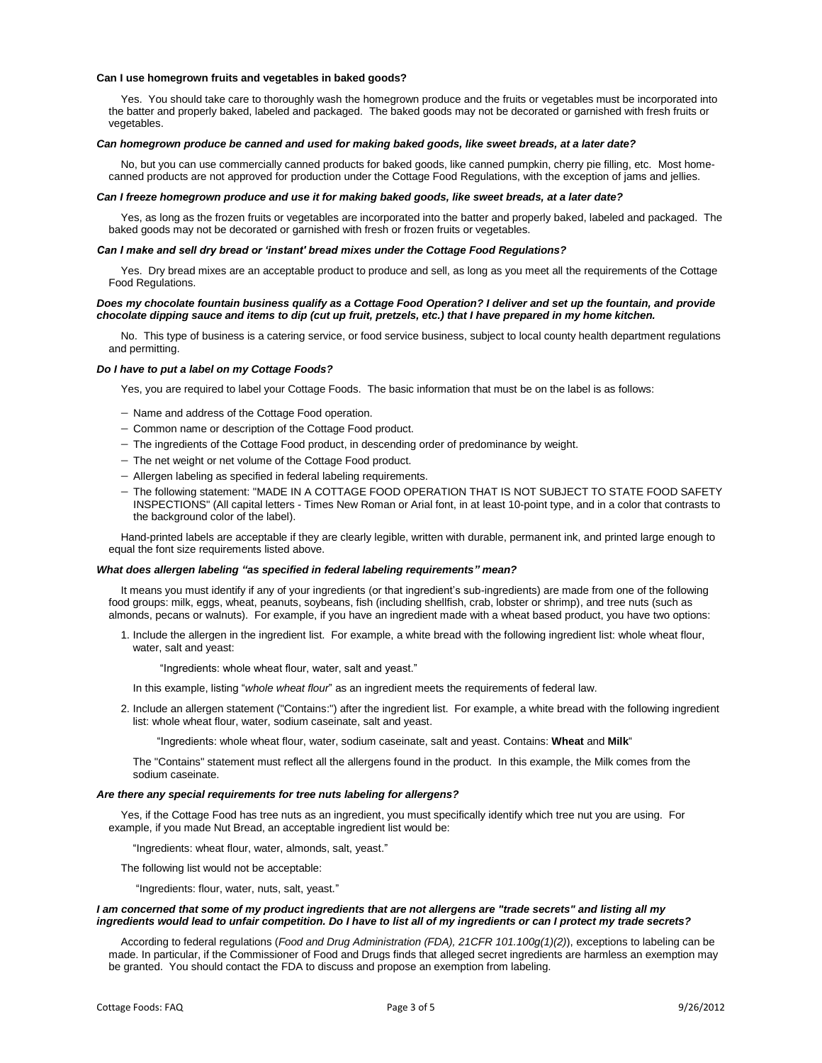#### **Can I use homegrown fruits and vegetables in baked goods?**

Yes. You should take care to thoroughly wash the homegrown produce and the fruits or vegetables must be incorporated into the batter and properly baked, labeled and packaged. The baked goods may not be decorated or garnished with fresh fruits or vegetables.

#### *Can homegrown produce be canned and used for making baked goods, like sweet breads, at a later date?*

No, but you can use commercially canned products for baked goods, like canned pumpkin, cherry pie filling, etc. Most homecanned products are not approved for production under the Cottage Food Regulations, with the exception of jams and jellies.

#### *Can I freeze homegrown produce and use it for making baked goods, like sweet breads, at a later date?*

Yes, as long as the frozen fruits or vegetables are incorporated into the batter and properly baked, labeled and packaged. The baked goods may not be decorated or garnished with fresh or frozen fruits or vegetables.

#### *Can I make and sell dry bread or 'instant' bread mixes under the Cottage Food Regulations?*

Yes. Dry bread mixes are an acceptable product to produce and sell, as long as you meet all the requirements of the Cottage Food Regulations.

#### *Does my chocolate fountain business qualify as a Cottage Food Operation? I deliver and set up the fountain, and provide chocolate dipping sauce and items to dip (cut up fruit, pretzels, etc.) that I have prepared in my home kitchen.*

No. This type of business is a catering service, or food service business, subject to local county health department regulations and permitting.

#### *Do I have to put a label on my Cottage Foods?*

Yes, you are required to label your Cottage Foods. The basic information that must be on the label is as follows:

- Name and address of the Cottage Food operation.
- Common name or description of the Cottage Food product.
- The ingredients of the Cottage Food product, in descending order of predominance by weight.
- The net weight or net volume of the Cottage Food product.
- Allergen labeling as specified in federal labeling requirements.
- The following statement: "MADE IN A COTTAGE FOOD OPERATION THAT IS NOT SUBJECT TO STATE FOOD SAFETY INSPECTIONS" (All capital letters - Times New Roman or Arial font, in at least 10-point type, and in a color that contrasts to the background color of the label).

Hand-printed labels are acceptable if they are clearly legible, written with durable, permanent ink, and printed large enough to equal the font size requirements listed above.

#### *What does allergen labeling "as specified in federal labeling requirements" mean?*

It means you must identify if any of your ingredients (or that ingredient's sub-ingredients) are made from one of the following food groups: milk, eggs, wheat, peanuts, soybeans, fish (including shellfish, crab, lobster or shrimp), and tree nuts (such as almonds, pecans or walnuts). For example, if you have an ingredient made with a wheat based product, you have two options:

1. Include the allergen in the ingredient list. For example, a white bread with the following ingredient list: whole wheat flour, water, salt and yeast:

"Ingredients: whole wheat flour, water, salt and yeast."

In this example, listing "*whole wheat flour*" as an ingredient meets the requirements of federal law.

2. Include an allergen statement ("Contains:") after the ingredient list. For example, a white bread with the following ingredient list: whole wheat flour, water, sodium caseinate, salt and yeast.

"Ingredients: whole wheat flour, water, sodium caseinate, salt and yeast. Contains: **Wheat** and **Milk**"

The "Contains" statement must reflect all the allergens found in the product. In this example, the Milk comes from the sodium caseinate.

#### *Are there any special requirements for tree nuts labeling for allergens?*

Yes, if the Cottage Food has tree nuts as an ingredient, you must specifically identify which tree nut you are using. For example, if you made Nut Bread, an acceptable ingredient list would be:

"Ingredients: wheat flour, water, almonds, salt, yeast."

The following list would not be acceptable:

"Ingredients: flour, water, nuts, salt, yeast."

#### *I am concerned that some of my product ingredients that are not allergens are "trade secrets" and listing all my ingredients would lead to unfair competition. Do I have to list all of my ingredients or can I protect my trade secrets?*

According to federal regulations (*Food and Drug Administration (FDA), 21CFR 101.100g(1)(2)*), exceptions to labeling can be made. In particular, if the Commissioner of Food and Drugs finds that alleged secret ingredients are harmless an exemption may be granted. You should contact the FDA to discuss and propose an exemption from labeling.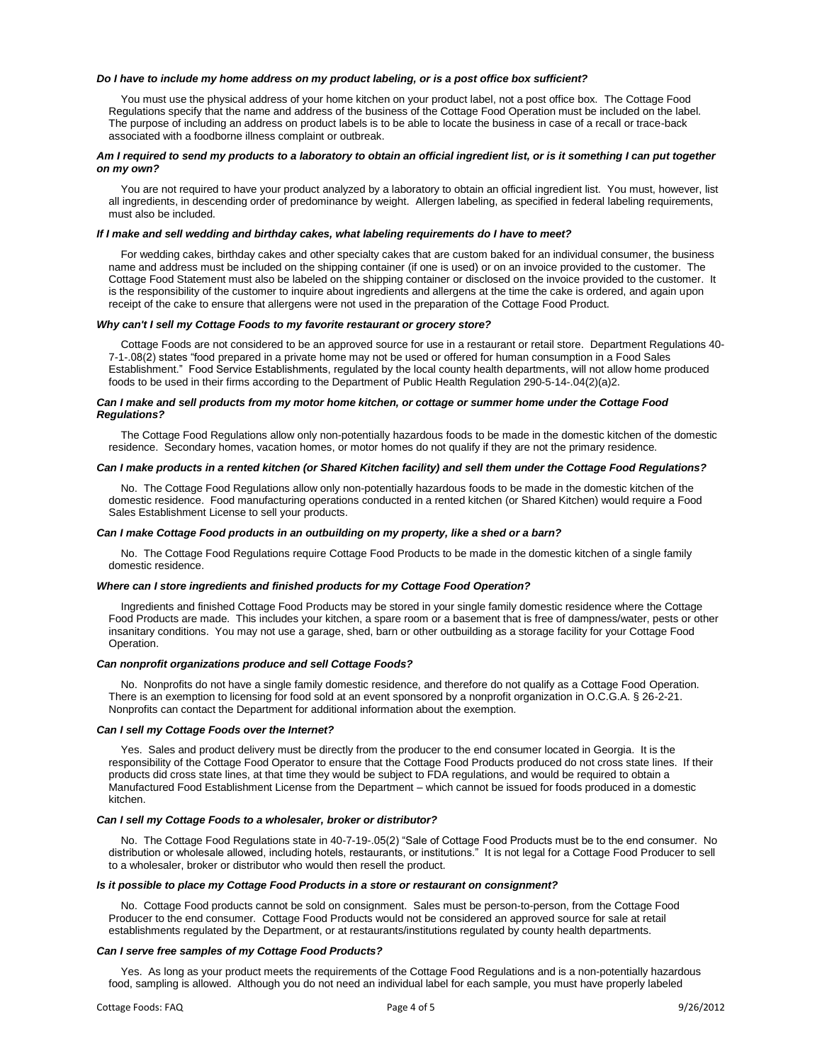#### *Do I have to include my home address on my product labeling, or is a post office box sufficient?*

You must use the physical address of your home kitchen on your product label, not a post office box. The Cottage Food Regulations specify that the name and address of the business of the Cottage Food Operation must be included on the label. The purpose of including an address on product labels is to be able to locate the business in case of a recall or trace-back associated with a foodborne illness complaint or outbreak.

# *Am I required to send my products to a laboratory to obtain an official ingredient list, or is it something I can put together on my own?*

You are not required to have your product analyzed by a laboratory to obtain an official ingredient list. You must, however, list all ingredients, in descending order of predominance by weight. Allergen labeling, as specified in federal labeling requirements, must also be included.

# *If I make and sell wedding and birthday cakes, what labeling requirements do I have to meet?*

For wedding cakes, birthday cakes and other specialty cakes that are custom baked for an individual consumer, the business name and address must be included on the shipping container (if one is used) or on an invoice provided to the customer. The Cottage Food Statement must also be labeled on the shipping container or disclosed on the invoice provided to the customer. It is the responsibility of the customer to inquire about ingredients and allergens at the time the cake is ordered, and again upon receipt of the cake to ensure that allergens were not used in the preparation of the Cottage Food Product.

#### *Why can't I sell my Cottage Foods to my favorite restaurant or grocery store?*

Cottage Foods are not considered to be an approved source for use in a restaurant or retail store. Department Regulations 40- 7-1-.08(2) states "food prepared in a private home may not be used or offered for human consumption in a Food Sales Establishment." Food Service Establishments, regulated by the local county health departments, will not allow home produced foods to be used in their firms according to the Department of Public Health Regulation 290-5-14-.04(2)(a)2.

# *Can I make and sell products from my motor home kitchen, or cottage or summer home under the Cottage Food Regulations?*

The Cottage Food Regulations allow only non-potentially hazardous foods to be made in the domestic kitchen of the domestic residence. Secondary homes, vacation homes, or motor homes do not qualify if they are not the primary residence.

### *Can I make products in a rented kitchen (or Shared Kitchen facility) and sell them under the Cottage Food Regulations?*

No. The Cottage Food Regulations allow only non-potentially hazardous foods to be made in the domestic kitchen of the domestic residence. Food manufacturing operations conducted in a rented kitchen (or Shared Kitchen) would require a Food Sales Establishment License to sell your products.

#### *Can I make Cottage Food products in an outbuilding on my property, like a shed or a barn?*

No. The Cottage Food Regulations require Cottage Food Products to be made in the domestic kitchen of a single family domestic residence.

#### *Where can I store ingredients and finished products for my Cottage Food Operation?*

Ingredients and finished Cottage Food Products may be stored in your single family domestic residence where the Cottage Food Products are made. This includes your kitchen, a spare room or a basement that is free of dampness/water, pests or other insanitary conditions. You may not use a garage, shed, barn or other outbuilding as a storage facility for your Cottage Food Operation.

#### *Can nonprofit organizations produce and sell Cottage Foods?*

No. Nonprofits do not have a single family domestic residence, and therefore do not qualify as a Cottage Food Operation. There is an exemption to licensing for food sold at an event sponsored by a nonprofit organization in O.C.G.A. § 26-2-21. Nonprofits can contact the Department for additional information about the exemption.

# *Can I sell my Cottage Foods over the Internet?*

Yes. Sales and product delivery must be directly from the producer to the end consumer located in Georgia. It is the responsibility of the Cottage Food Operator to ensure that the Cottage Food Products produced do not cross state lines. If their products did cross state lines, at that time they would be subject to FDA regulations, and would be required to obtain a Manufactured Food Establishment License from the Department – which cannot be issued for foods produced in a domestic kitchen.

# *Can I sell my Cottage Foods to a wholesaler, broker or distributor?*

No. The Cottage Food Regulations state in 40-7-19-.05(2) "Sale of Cottage Food Products must be to the end consumer. No distribution or wholesale allowed, including hotels, restaurants, or institutions." It is not legal for a Cottage Food Producer to sell to a wholesaler, broker or distributor who would then resell the product.

# *Is it possible to place my Cottage Food Products in a store or restaurant on consignment?*

No. Cottage Food products cannot be sold on consignment. Sales must be person-to-person, from the Cottage Food Producer to the end consumer. Cottage Food Products would not be considered an approved source for sale at retail establishments regulated by the Department, or at restaurants/institutions regulated by county health departments.

# *Can I serve free samples of my Cottage Food Products?*

Yes. As long as your product meets the requirements of the Cottage Food Regulations and is a non-potentially hazardous food, sampling is allowed. Although you do not need an individual label for each sample, you must have properly labeled